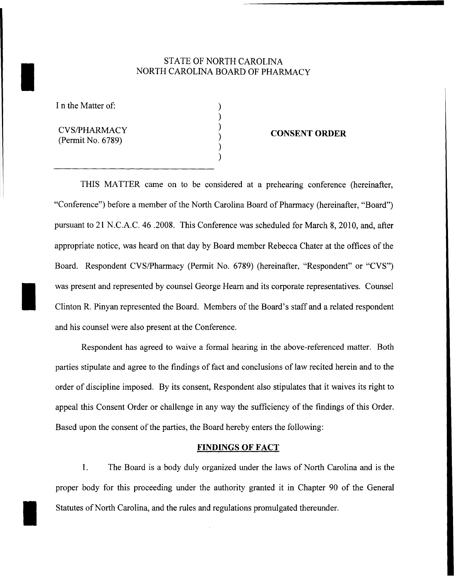# STATE OF NORTH CAROLINA<br>NORTH CAROLINA BOARD OF PHAR NORTH CAROLINA BOARD OF PHARMACY

) ) ) ) ) )

I n the Matter of:

I

I

CVS/PHARMACY (Permit No. 6789)

#### **CONSENT ORDER**

THIS MATTER came on to be considered at a prehearing conference (hereinafter, "Conference") before a member of the North Carolina Board of Pharmacy (hereinafter, "Board") pursuant to 21 N.C.A.C. 46.2008. This Conference was scheduled for March 8, 2010, and, after appropriate notice, was heard on that day by Board member Rebecca Chater at the offices of the Board. Respondent CVS/Pharmacy (Permit No. 6789) (hereinafter, "Respondent" or "CVS") was present and represented by counsel George Hearn and its corporate representatives. Counsel Clinton R. Pinyan represented the Board. Members of the Board's staff and a related respondent and his counsel were also present at the Conference.

Respondent has agreed to waive a formal hearing in the above-referenced matter. Both parties stipulate and agree to the findings of fact and conclusions of law recited herein and to the order of discipline imposed. By its consent, Respondent also stipulates that it waives its right to appeal this Consent Order or challenge in any way the sufficiency of the findings of this Order. Based upon the consent of the parties, the Board hereby enters the following:

#### **FINDINGS OF FACT**

1. The Board is a body duly organized under the laws of North Carolina and is the proper body for this proceeding under the authority granted it in Chapter 90 of the General Statutes of North Carolina, and the rules and regulations promulgated thereunder.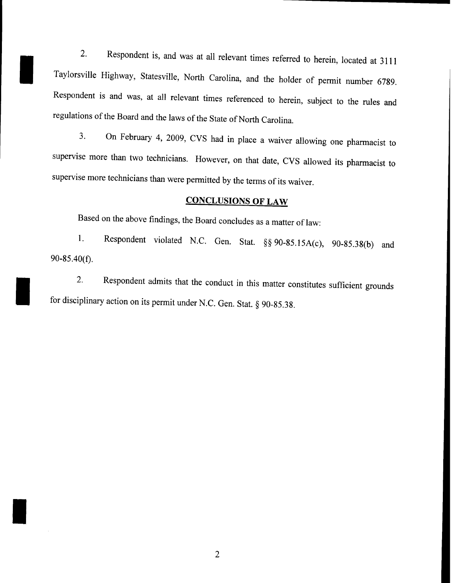2. Respondent is, and was at all relevant times referred to herein, located at 3111 Taylorsville Highway, Statesville, North Carolina, and the holder of permit number 6789. Respondent is and was, at all relevant times referenced to herein, subject to the rules and regulations of the Board and the laws of the State of North Carolina.

I

I

I

3. On February 4, 2009, CVS had in place a waiver allowing one pharmacist to supervise more than two technicians. However, on that date, CVS allowed its pharmacist to supervise more technicians than were permitted by the terms of its waiver.

### **CONCLUSIONS OF LAW**

Based on the above findings, the Board concludes as a matter of law:

1. Respondent violated N.C. Gen. Stat. §§ 90-85. 15A(c), 90-85.38(b) and 90-85.40(f).

2. Respondent admits that the conduct in this matter constitutes sufficient grounds for disciplinary action on its permit under N.C. Gen. Stat. § 90-85.38.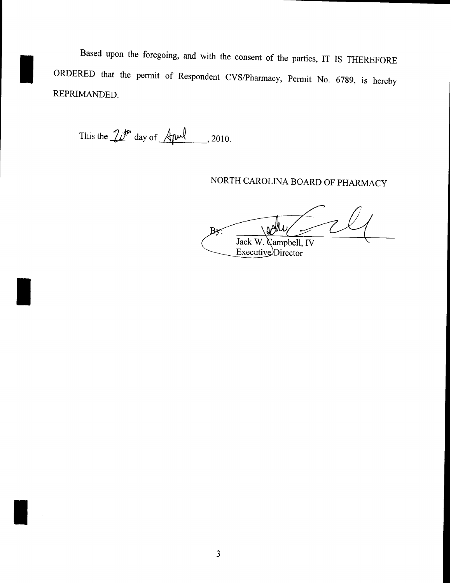Based upon the foregoing, and with the consent of the parties, IT IS THEREFORE ORDERED that the permit of Respondent CVS/Pharmacy, Permit No. 6789, is hereby REPRIMANDED.

This the  $20^{th}$  day of  $A^{full}$ , 2010.

## NORTH CAROLINA BOARD OF PHARMACY

∖ม⊁่  $By:$ Jack W. Campbell, IV Executive Director